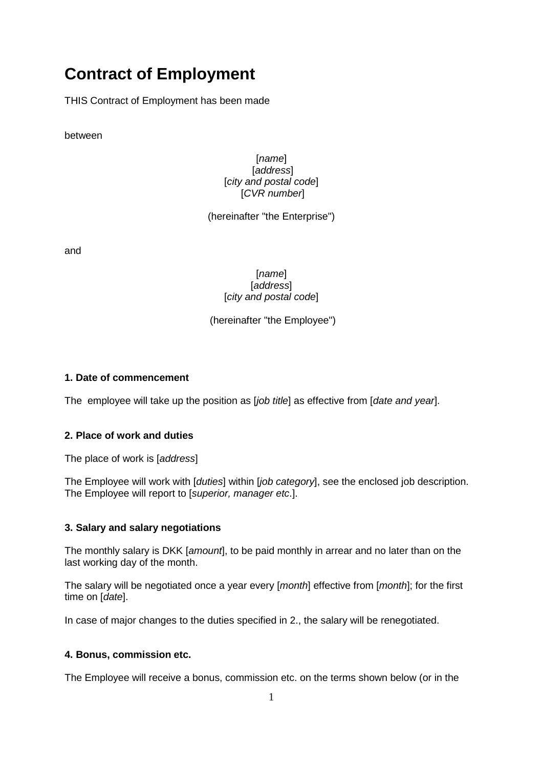# **Contract of Employment**

THIS Contract of Employment has been made

between

[*name*] [*address*] [*city and postal code*] [*CVR number*]

(hereinafter "the Enterprise")

and

[*name*] [*address*] [*city and postal code*]

(hereinafter "the Employee")

#### **1. Date of commencement**

The employee will take up the position as [*job title*] as effective from [*date and year*].

#### **2. Place of work and duties**

The place of work is [*address*]

The Employee will work with [*duties*] within [*job category*], see the enclosed job description. The Employee will report to [*superior, manager etc*.].

#### **3. Salary and salary negotiations**

The monthly salary is DKK [*amount*], to be paid monthly in arrear and no later than on the last working day of the month.

The salary will be negotiated once a year every [*month*] effective from [*month*]; for the first time on [*date*].

In case of major changes to the duties specified in 2., the salary will be renegotiated.

#### **4. Bonus, commission etc.**

The Employee will receive a bonus, commission etc. on the terms shown below (or in the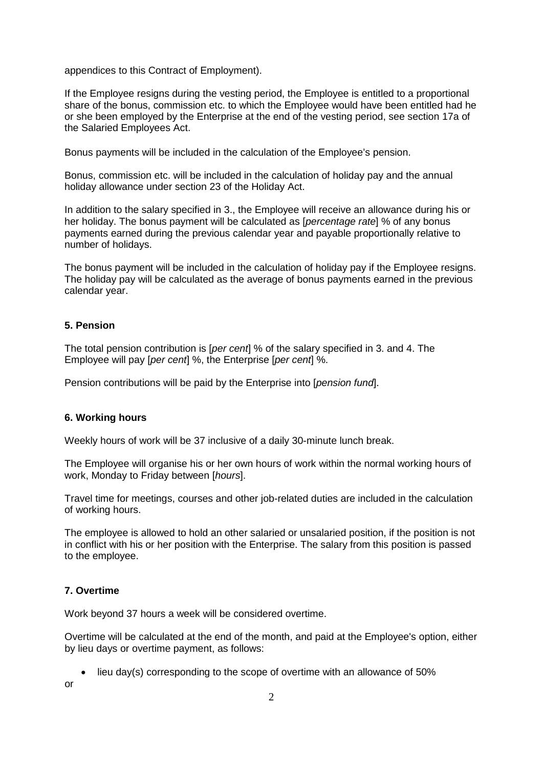appendices to this Contract of Employment).

If the Employee resigns during the vesting period, the Employee is entitled to a proportional share of the bonus, commission etc. to which the Employee would have been entitled had he or she been employed by the Enterprise at the end of the vesting period, see section 17a of the Salaried Employees Act.

Bonus payments will be included in the calculation of the Employee's pension.

Bonus, commission etc. will be included in the calculation of holiday pay and the annual holiday allowance under section 23 of the Holiday Act.

In addition to the salary specified in 3., the Employee will receive an allowance during his or her holiday. The bonus payment will be calculated as [*percentage rate*] % of any bonus payments earned during the previous calendar year and payable proportionally relative to number of holidays.

The bonus payment will be included in the calculation of holiday pay if the Employee resigns. The holiday pay will be calculated as the average of bonus payments earned in the previous calendar year.

#### **5. Pension**

The total pension contribution is [*per cent*] % of the salary specified in 3. and 4. The Employee will pay [*per cent*] %, the Enterprise [*per cent*] %.

Pension contributions will be paid by the Enterprise into [*pension fund*].

#### **6. Working hours**

Weekly hours of work will be 37 inclusive of a daily 30-minute lunch break.

The Employee will organise his or her own hours of work within the normal working hours of work, Monday to Friday between [*hours*].

Travel time for meetings, courses and other job-related duties are included in the calculation of working hours.

The employee is allowed to hold an other salaried or unsalaried position, if the position is not in conflict with his or her position with the Enterprise. The salary from this position is passed to the employee.

#### **7. Overtime**

Work beyond 37 hours a week will be considered overtime.

Overtime will be calculated at the end of the month, and paid at the Employee's option, either by lieu days or overtime payment, as follows:

• lieu day(s) corresponding to the scope of overtime with an allowance of 50%

or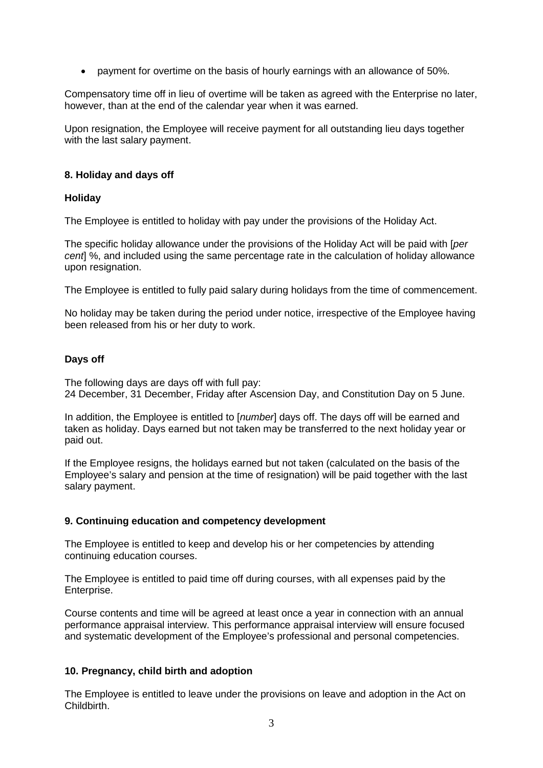• payment for overtime on the basis of hourly earnings with an allowance of 50%.

Compensatory time off in lieu of overtime will be taken as agreed with the Enterprise no later, however, than at the end of the calendar year when it was earned.

Upon resignation, the Employee will receive payment for all outstanding lieu days together with the last salary payment.

#### **8. Holiday and days off**

#### **Holiday**

The Employee is entitled to holiday with pay under the provisions of the Holiday Act.

The specific holiday allowance under the provisions of the Holiday Act will be paid with [*per cent*] %, and included using the same percentage rate in the calculation of holiday allowance upon resignation.

The Employee is entitled to fully paid salary during holidays from the time of commencement.

No holiday may be taken during the period under notice, irrespective of the Employee having been released from his or her duty to work.

# **Days off**

The following days are days off with full pay: 24 December, 31 December, Friday after Ascension Day, and Constitution Day on 5 June.

In addition, the Employee is entitled to [*number*] days off. The days off will be earned and taken as holiday. Days earned but not taken may be transferred to the next holiday year or paid out.

If the Employee resigns, the holidays earned but not taken (calculated on the basis of the Employee's salary and pension at the time of resignation) will be paid together with the last salary payment.

#### **9. Continuing education and competency development**

The Employee is entitled to keep and develop his or her competencies by attending continuing education courses.

The Employee is entitled to paid time off during courses, with all expenses paid by the Enterprise.

Course contents and time will be agreed at least once a year in connection with an annual performance appraisal interview. This performance appraisal interview will ensure focused and systematic development of the Employee's professional and personal competencies.

#### **10. Pregnancy, child birth and adoption**

The Employee is entitled to leave under the provisions on leave and adoption in the Act on Childbirth.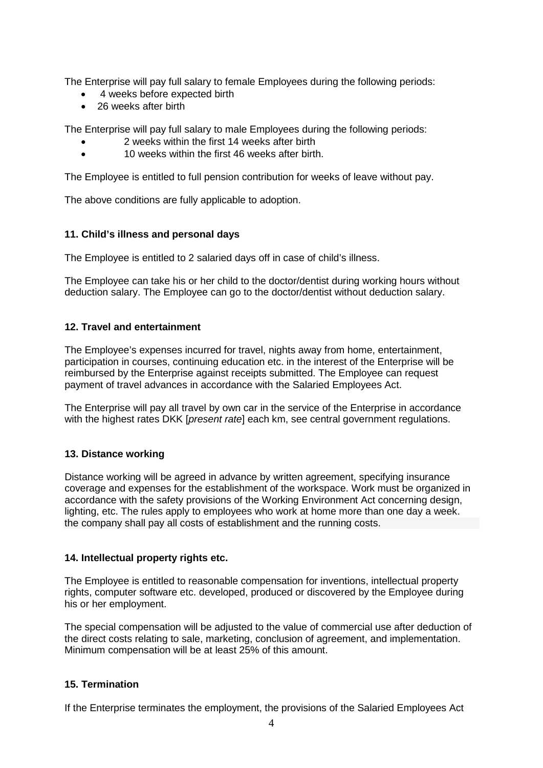The Enterprise will pay full salary to female Employees during the following periods:

- 4 weeks before expected birth
- 26 weeks after birth

The Enterprise will pay full salary to male Employees during the following periods:

- 2 weeks within the first 14 weeks after birth
- 10 weeks within the first 46 weeks after birth.

The Employee is entitled to full pension contribution for weeks of leave without pay.

The above conditions are fully applicable to adoption.

# **11. Child's illness and personal days**

The Employee is entitled to 2 salaried days off in case of child's illness.

The Employee can take his or her child to the doctor/dentist during working hours without deduction salary. The Employee can go to the doctor/dentist without deduction salary.

#### **12. Travel and entertainment**

The Employee's expenses incurred for travel, nights away from home, entertainment, participation in courses, continuing education etc. in the interest of the Enterprise will be reimbursed by the Enterprise against receipts submitted. The Employee can request payment of travel advances in accordance with the Salaried Employees Act.

The Enterprise will pay all travel by own car in the service of the Enterprise in accordance with the highest rates DKK [*present rate*] each km, see central government regulations.

#### **13. Distance working**

Distance working will be agreed in advance by written agreement, specifying insurance coverage and expenses for the establishment of the workspace. Work must be organized in accordance with the safety provisions of the Working Environment Act concerning design, lighting, etc. The rules apply to employees who work at home more than one day a week. the company shall pay all costs of establishment and the running costs.

#### **14. Intellectual property rights etc.**

The Employee is entitled to reasonable compensation for inventions, intellectual property rights, computer software etc. developed, produced or discovered by the Employee during his or her employment.

The special compensation will be adjusted to the value of commercial use after deduction of the direct costs relating to sale, marketing, conclusion of agreement, and implementation. Minimum compensation will be at least 25% of this amount.

#### **15. Termination**

If the Enterprise terminates the employment, the provisions of the Salaried Employees Act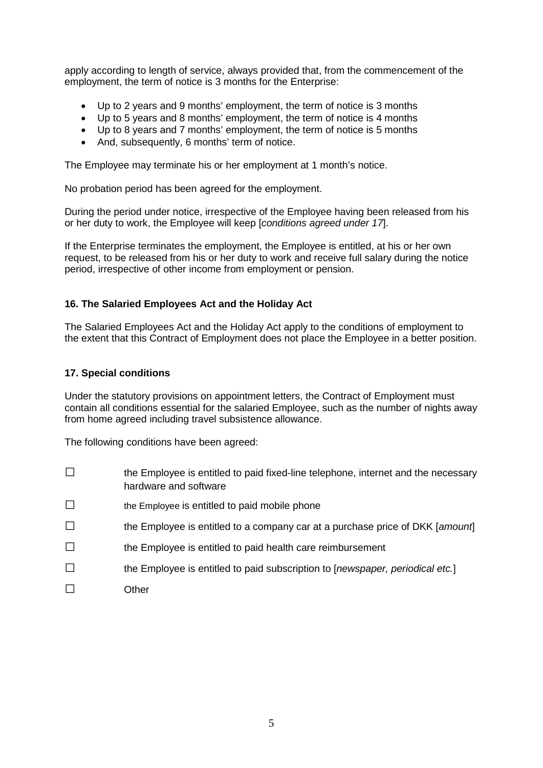apply according to length of service, always provided that, from the commencement of the employment, the term of notice is 3 months for the Enterprise:

- Up to 2 years and 9 months' employment, the term of notice is 3 months
- Up to 5 years and 8 months' employment, the term of notice is 4 months
- Up to 8 years and 7 months' employment, the term of notice is 5 months
- And, subsequently, 6 months' term of notice.

The Employee may terminate his or her employment at 1 month's notice.

No probation period has been agreed for the employment.

During the period under notice, irrespective of the Employee having been released from his or her duty to work, the Employee will keep [*conditions agreed under 17*].

If the Enterprise terminates the employment, the Employee is entitled, at his or her own request, to be released from his or her duty to work and receive full salary during the notice period, irrespective of other income from employment or pension.

# **16. The Salaried Employees Act and the Holiday Act**

The Salaried Employees Act and the Holiday Act apply to the conditions of employment to the extent that this Contract of Employment does not place the Employee in a better position.

#### **17. Special conditions**

Under the statutory provisions on appointment letters, the Contract of Employment must contain all conditions essential for the salaried Employee, such as the number of nights away from home agreed including travel subsistence allowance.

The following conditions have been agreed:

- □ the Employee is entitled to paid fixed-line telephone, internet and the necessary hardware and software
- $\square$  the Employee is entitled to paid mobile phone
- □ the Employee is entitled to a company car at a purchase price of DKK [*amount*]
- □ the Employee is entitled to paid health care reimbursement
- □ the Employee is entitled to paid subscription to [*newspaper, periodical etc.*]
- □ Other